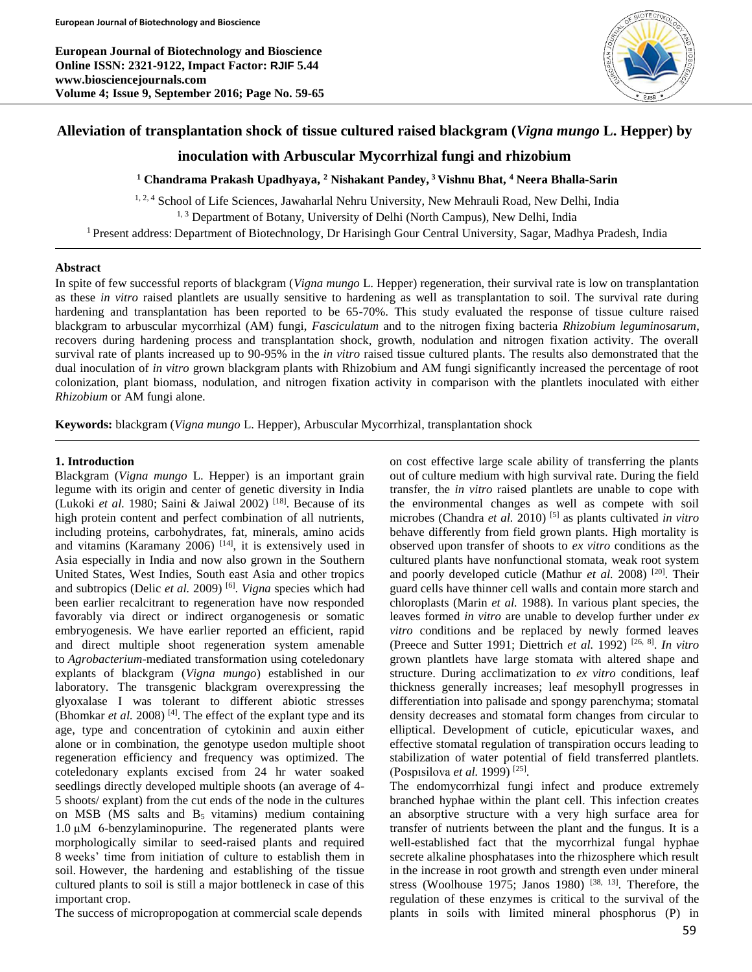**European Journal of Biotechnology and Bioscience Online ISSN: 2321-9122, Impact Factor: RJIF 5.44 www.biosciencejournals.com Volume 4; Issue 9, September 2016; Page No. 59-65**



# **Alleviation of transplantation shock of tissue cultured raised blackgram (***Vigna mungo* **L. Hepper) by**

# **inoculation with Arbuscular Mycorrhizal fungi and rhizobium**

**<sup>1</sup> Chandrama Prakash Upadhyaya, <sup>2</sup> Nishakant Pandey, <sup>3</sup>Vishnu Bhat, <sup>4</sup> Neera Bhalla-Sarin**

<sup>1, 2, 4</sup> School of Life Sciences, Jawaharlal Nehru University, New Mehrauli Road, New Delhi, India <sup>1, 3</sup> Department of Botany, University of Delhi (North Campus), New Delhi, India <sup>1</sup>Present address: Department of Biotechnology, Dr Harisingh Gour Central University, Sagar, Madhya Pradesh, India

#### **Abstract**

In spite of few successful reports of blackgram (*Vigna mungo* L. Hepper) regeneration, their survival rate is low on transplantation as these *in vitro* raised plantlets are usually sensitive to hardening as well as transplantation to soil. The survival rate during hardening and transplantation has been reported to be 65-70%. This study evaluated the response of tissue culture raised blackgram to arbuscular mycorrhizal (AM) fungi, *Fasciculatum* and to the nitrogen fixing bacteria *Rhizobium leguminosarum*, recovers during hardening process and transplantation shock, growth, nodulation and nitrogen fixation activity. The overall survival rate of plants increased up to 90-95% in the *in vitro* raised tissue cultured plants. The results also demonstrated that the dual inoculation of *in vitro* grown blackgram plants with Rhizobium and AM fungi significantly increased the percentage of root colonization, plant biomass, nodulation, and nitrogen fixation activity in comparison with the plantlets inoculated with either *Rhizobium* or AM fungi alone.

**Keywords:** blackgram (*Vigna mungo* L. Hepper), Arbuscular Mycorrhizal, transplantation shock

#### **1. Introduction**

Blackgram (*Vigna mungo* L. Hepper) is an important grain legume with its origin and center of genetic diversity in India (Lukoki *et al.* 1980; Saini & Jaiwal 2002) [18] . Because of its high protein content and perfect combination of all nutrients, including proteins, carbohydrates, fat, minerals, amino acids and vitamins (Karamany 2006)  $[14]$ , it is extensively used in Asia especially in India and now also grown in the Southern United States, West Indies, South east Asia and other tropics and subtropics (Delic *et al.* 2009)<sup>[6]</sup>. *Vigna* species which had been earlier recalcitrant to regeneration have now responded favorably via direct or indirect organogenesis or somatic embryogenesis. We have earlier reported an efficient, rapid and direct multiple shoot regeneration system amenable to *Agrobacterium*-mediated transformation using coteledonary explants of blackgram (*Vigna mungo*) established in our laboratory. The transgenic blackgram overexpressing the glyoxalase I was tolerant to different abiotic stresses (Bhomkar *et al.* 2008)<sup>[4]</sup>. The effect of the explant type and its age, type and concentration of cytokinin and auxin either alone or in combination, the genotype usedon multiple shoot regeneration efficiency and frequency was optimized. The coteledonary explants excised from 24 hr water soaked seedlings directly developed multiple shoots (an average of 4- 5 shoots/ explant) from the cut ends of the node in the cultures on MSB (MS salts and  $B_5$  vitamins) medium containing 1.0 μM 6-benzylaminopurine. The regenerated plants were morphologically similar to seed-raised plants and required 8 weeks' time from initiation of culture to establish them in soil. However, the hardening and establishing of the tissue cultured plants to soil is still a major bottleneck in case of this important crop.

The success of micropropogation at commercial scale depends

on cost effective large scale ability of transferring the plants out of culture medium with high survival rate. During the field transfer, the *in vitro* raised plantlets are unable to cope with the environmental changes as well as compete with soil microbes (Chandra *et al.* 2010) [5] as plants cultivated *in vitro* behave differently from field grown plants. High mortality is observed upon transfer of shoots to *ex vitro* conditions as the cultured plants have nonfunctional stomata, weak root system and poorly developed cuticle (Mathur *et al.* 2008) <sup>[20]</sup>. Their guard cells have thinner cell walls and contain more starch and chloroplasts (Marin *et al.* 1988). In various plant species, the leaves formed *in vitro* are unable to develop further under *ex vitro* conditions and be replaced by newly formed leaves (Preece and Sutter 1991; Diettrich *et al.* 1992) [26, 8] . *In vitro* grown plantlets have large stomata with altered shape and structure. During acclimatization to *ex vitro* conditions, leaf thickness generally increases; leaf mesophyll progresses in differentiation into palisade and spongy parenchyma; stomatal density decreases and stomatal form changes from circular to elliptical. Development of cuticle, epicuticular waxes, and effective stomatal regulation of transpiration occurs leading to stabilization of water potential of field transferred plantlets. (Pospısilova *et al.* 1999) [25] .

The endomycorrhizal fungi infect and produce extremely branched hyphae within the plant cell. This infection creates an absorptive structure with a very high surface area for transfer of nutrients between the plant and the fungus. It is a well-established fact that the mycorrhizal fungal hyphae secrete alkaline phosphatases into the rhizosphere which result in the increase in root growth and strength even under mineral stress (Woolhouse 1975; Janos 1980)  $[38, 13]$ . Therefore, the regulation of these enzymes is critical to the survival of the plants in soils with limited mineral phosphorus (P) in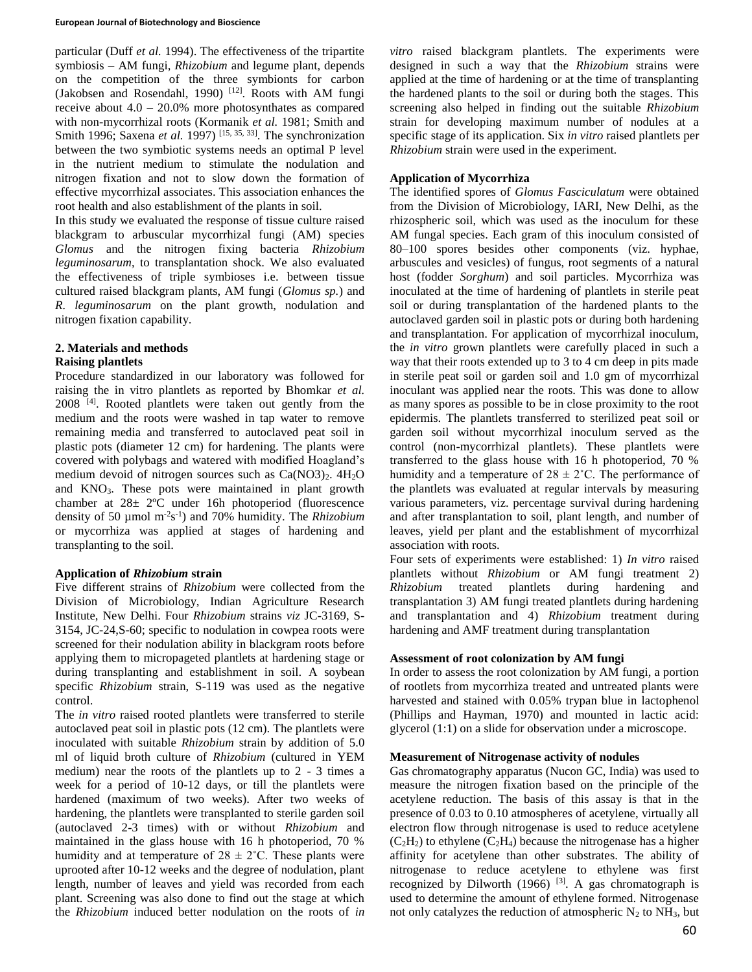particular (Duff *et al.* 1994). The effectiveness of the tripartite symbiosis – AM fungi, *Rhizobium* and legume plant, depends on the competition of the three symbionts for carbon (Jakobsen and Rosendahl, 1990) [12]. Roots with AM fungi receive about  $4.0 - 20.0\%$  more photosynthates as compared with non-mycorrhizal roots (Kormanik *et al.* 1981; Smith and Smith 1996; Saxena *et al.* 1997)<sup>[15, 35, 33]. The synchronization</sup> between the two symbiotic systems needs an optimal P level in the nutrient medium to stimulate the nodulation and nitrogen fixation and not to slow down the formation of effective mycorrhizal associates. This association enhances the root health and also establishment of the plants in soil.

In this study we evaluated the response of tissue culture raised blackgram to arbuscular mycorrhizal fungi (AM) species *Glomus* and the nitrogen fixing bacteria *Rhizobium leguminosarum*, to transplantation shock. We also evaluated the effectiveness of triple symbioses i.e. between tissue cultured raised blackgram plants, AM fungi (*Glomus sp.*) and *R. leguminosarum* on the plant growth, nodulation and nitrogen fixation capability.

# **2. Materials and methods**

## **Raising plantlets**

Procedure standardized in our laboratory was followed for raising the in vitro plantlets as reported by Bhomkar *et al.* 2008<sup>[4]</sup>. Rooted plantlets were taken out gently from the medium and the roots were washed in tap water to remove remaining media and transferred to autoclaved peat soil in plastic pots (diameter 12 cm) for hardening. The plants were covered with polybags and watered with modified Hoagland's medium devoid of nitrogen sources such as  $Ca(NO3)_2$ .  $4H_2O$ and KNO3. These pots were maintained in plant growth chamber at 28± 2ºC under 16h photoperiod (fluorescence density of 50 µmol m-2 s -1 ) and 70% humidity. The *Rhizobium*  or mycorrhiza was applied at stages of hardening and transplanting to the soil.

# **Application of** *Rhizobium* **strain**

Five different strains of *Rhizobium* were collected from the Division of Microbiology, Indian Agriculture Research Institute, New Delhi. Four *Rhizobium* strains *viz* JC-3169, S-3154, JC-24,S-60; specific to nodulation in cowpea roots were screened for their nodulation ability in blackgram roots before applying them to micropageted plantlets at hardening stage or during transplanting and establishment in soil. A soybean specific *Rhizobium* strain, S-119 was used as the negative control.

The *in vitro* raised rooted plantlets were transferred to sterile autoclaved peat soil in plastic pots (12 cm). The plantlets were inoculated with suitable *Rhizobium* strain by addition of 5.0 ml of liquid broth culture of *Rhizobium* (cultured in YEM medium) near the roots of the plantlets up to 2 - 3 times a week for a period of 10-12 days, or till the plantlets were hardened (maximum of two weeks). After two weeks of hardening, the plantlets were transplanted to sterile garden soil (autoclaved 2-3 times) with or without *Rhizobium* and maintained in the glass house with 16 h photoperiod, 70 % humidity and at temperature of  $28 \pm 2^{\circ}$ C. These plants were uprooted after 10-12 weeks and the degree of nodulation, plant length, number of leaves and yield was recorded from each plant. Screening was also done to find out the stage at which the *Rhizobium* induced better nodulation on the roots of *in*  *vitro* raised blackgram plantlets. The experiments were designed in such a way that the *Rhizobium* strains were applied at the time of hardening or at the time of transplanting the hardened plants to the soil or during both the stages. This screening also helped in finding out the suitable *Rhizobium* strain for developing maximum number of nodules at a specific stage of its application. Six *in vitro* raised plantlets per *Rhizobium* strain were used in the experiment*.*

# **Application of Mycorrhiza**

The identified spores of *Glomus Fasciculatum* were obtained from the Division of Microbiology, IARI, New Delhi, as the rhizospheric soil, which was used as the inoculum for these AM fungal species. Each gram of this inoculum consisted of 80–100 spores besides other components (viz. hyphae, arbuscules and vesicles) of fungus, root segments of a natural host (fodder *Sorghum*) and soil particles. Mycorrhiza was inoculated at the time of hardening of plantlets in sterile peat soil or during transplantation of the hardened plants to the autoclaved garden soil in plastic pots or during both hardening and transplantation. For application of mycorrhizal inoculum, the *in vitro* grown plantlets were carefully placed in such a way that their roots extended up to 3 to 4 cm deep in pits made in sterile peat soil or garden soil and 1.0 gm of mycorrhizal inoculant was applied near the roots. This was done to allow as many spores as possible to be in close proximity to the root epidermis. The plantlets transferred to sterilized peat soil or garden soil without mycorrhizal inoculum served as the control (non-mycorrhizal plantlets). These plantlets were transferred to the glass house with 16 h photoperiod, 70 % humidity and a temperature of  $28 \pm 2^{\circ}$ C. The performance of the plantlets was evaluated at regular intervals by measuring various parameters, viz. percentage survival during hardening and after transplantation to soil, plant length, and number of leaves, yield per plant and the establishment of mycorrhizal association with roots.

Four sets of experiments were established: 1) *In vitro* raised plantlets without *Rhizobium* or AM fungi treatment 2) *Rhizobium* treated plantlets during hardening and transplantation 3) AM fungi treated plantlets during hardening and transplantation and 4) *Rhizobium* treatment during hardening and AMF treatment during transplantation

## **Assessment of root colonization by AM fungi**

In order to assess the root colonization by AM fungi, a portion of rootlets from mycorrhiza treated and untreated plants were harvested and stained with 0.05% trypan blue in lactophenol (Phillips and Hayman, 1970) and mounted in lactic acid: glycerol (1:1) on a slide for observation under a microscope.

## **Measurement of Nitrogenase activity of nodules**

Gas chromatography apparatus (Nucon GC, India) was used to measure the nitrogen fixation based on the principle of the acetylene reduction. The basis of this assay is that in the presence of 0.03 to 0.10 atmospheres of acetylene, virtually all electron flow through nitrogenase is used to reduce acetylene  $(C_2H_2)$  to ethylene  $(C_2H_4)$  because the nitrogenase has a higher affinity for acetylene than other substrates. The ability of nitrogenase to reduce acetylene to ethylene was first recognized by Dilworth  $(1966)$  <sup>[3]</sup>. A gas chromatograph is used to determine the amount of ethylene formed. Nitrogenase not only catalyzes the reduction of atmospheric  $N_2$  to  $NH_3$ , but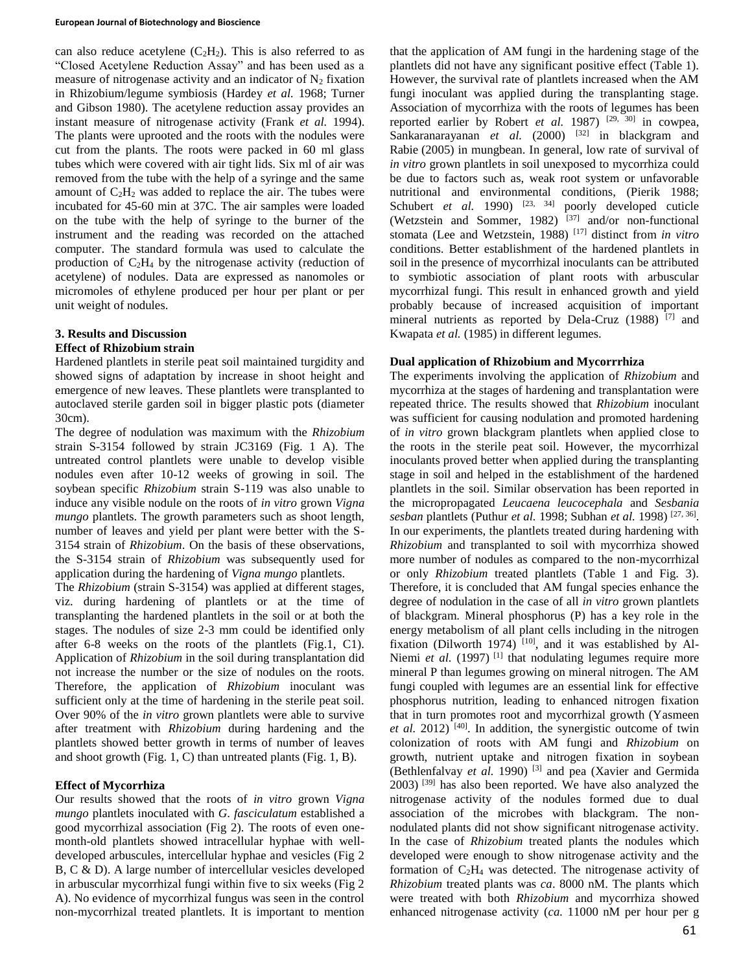#### **European Journal of Biotechnology and Bioscience**

can also reduce acetylene  $(C_2H_2)$ . This is also referred to as "Closed Acetylene Reduction Assay" and has been used as a measure of nitrogenase activity and an indicator of  $N_2$  fixation in Rhizobium/legume symbiosis (Hardey *et al.* 1968; Turner and Gibson 1980). The acetylene reduction assay provides an instant measure of nitrogenase activity (Frank *et al.* 1994). The plants were uprooted and the roots with the nodules were cut from the plants. The roots were packed in 60 ml glass tubes which were covered with air tight lids. Six ml of air was removed from the tube with the help of a syringe and the same amount of  $C_2H_2$  was added to replace the air. The tubes were incubated for 45-60 min at 37C. The air samples were loaded on the tube with the help of syringe to the burner of the instrument and the reading was recorded on the attached computer. The standard formula was used to calculate the production of  $C_2H_4$  by the nitrogenase activity (reduction of acetylene) of nodules. Data are expressed as nanomoles or micromoles of ethylene produced per hour per plant or per unit weight of nodules.

#### **3. Results and Discussion Effect of Rhizobium strain**

Hardened plantlets in sterile peat soil maintained turgidity and showed signs of adaptation by increase in shoot height and emergence of new leaves. These plantlets were transplanted to autoclaved sterile garden soil in bigger plastic pots (diameter 30cm).

The degree of nodulation was maximum with the *Rhizobium* strain S-3154 followed by strain JC3169 (Fig. 1 A). The untreated control plantlets were unable to develop visible nodules even after 10-12 weeks of growing in soil. The soybean specific *Rhizobium* strain S-119 was also unable to induce any visible nodule on the roots of *in vitro* grown *Vigna mungo* plantlets. The growth parameters such as shoot length, number of leaves and yield per plant were better with the S-3154 strain of *Rhizobium*. On the basis of these observations, the S-3154 strain of *Rhizobium* was subsequently used for application during the hardening of *Vigna mungo* plantlets.

The *Rhizobium* (strain S-3154) was applied at different stages, viz. during hardening of plantlets or at the time of transplanting the hardened plantlets in the soil or at both the stages. The nodules of size 2-3 mm could be identified only after 6-8 weeks on the roots of the plantlets (Fig.1, C1). Application of *Rhizobium* in the soil during transplantation did not increase the number or the size of nodules on the roots. Therefore, the application of *Rhizobium* inoculant was sufficient only at the time of hardening in the sterile peat soil. Over 90% of the *in vitro* grown plantlets were able to survive after treatment with *Rhizobium* during hardening and the plantlets showed better growth in terms of number of leaves and shoot growth (Fig. 1, C) than untreated plants (Fig. 1, B).

## **Effect of Mycorrhiza**

Our results showed that the roots of *in vitro* grown *Vigna mungo* plantlets inoculated with *G*. *fasciculatum* established a good mycorrhizal association (Fig 2). The roots of even onemonth-old plantlets showed intracellular hyphae with welldeveloped arbuscules, intercellular hyphae and vesicles (Fig 2 B, C & D). A large number of intercellular vesicles developed in arbuscular mycorrhizal fungi within five to six weeks (Fig 2 A). No evidence of mycorrhizal fungus was seen in the control non-mycorrhizal treated plantlets. It is important to mention that the application of AM fungi in the hardening stage of the plantlets did not have any significant positive effect (Table 1). However, the survival rate of plantlets increased when the AM fungi inoculant was applied during the transplanting stage. Association of mycorrhiza with the roots of legumes has been reported earlier by Robert *et al.* 1987)<sup>[29, 30]</sup> in cowpea, Sankaranarayanan  $et$  *al.* (2000)  $^{[32]}$  in blackgram and Rabie (2005) in mungbean. In general, low rate of survival of *in vitro* grown plantlets in soil unexposed to mycorrhiza could be due to factors such as, weak root system or unfavorable nutritional and environmental conditions, (Pierik 1988; Schubert *et al.* 1990) <sup>[23, 34]</sup> poorly developed cuticle (Wetzstein and Sommer, 1982)  $[37]$  and/or non-functional stomata (Lee and Wetzstein, 1988) [17] distinct from *in vitro*  conditions. Better establishment of the hardened plantlets in soil in the presence of mycorrhizal inoculants can be attributed to symbiotic association of plant roots with arbuscular mycorrhizal fungi. This result in enhanced growth and yield probably because of increased acquisition of important mineral nutrients as reported by Dela-Cruz (1988)<sup>[7]</sup> and Kwapata *et al.* (1985) in different legumes.

## **Dual application of Rhizobium and Mycorrrhiza**

The experiments involving the application of *Rhizobium* and mycorrhiza at the stages of hardening and transplantation were repeated thrice. The results showed that *Rhizobium* inoculant was sufficient for causing nodulation and promoted hardening of *in vitro* grown blackgram plantlets when applied close to the roots in the sterile peat soil. However, the mycorrhizal inoculants proved better when applied during the transplanting stage in soil and helped in the establishment of the hardened plantlets in the soil. Similar observation has been reported in the micropropagated *Leucaena leucocephala* and *Sesbania sesban* plantlets (Puthur *et al.* 1998; Subhan *et al.* 1998) [27, 36] . In our experiments, the plantlets treated during hardening with *Rhizobium* and transplanted to soil with mycorrhiza showed more number of nodules as compared to the non-mycorrhizal or only *Rhizobium* treated plantlets (Table 1 and Fig. 3). Therefore, it is concluded that AM fungal species enhance the degree of nodulation in the case of all *in vitro* grown plantlets of blackgram. Mineral phosphorus (P) has a key role in the energy metabolism of all plant cells including in the nitrogen fixation (Dilworth 1974)  $[10]$ , and it was established by Al-Niemi *et al.* (1997)<sup>[1]</sup> that nodulating legumes require more mineral P than legumes growing on mineral nitrogen. The AM fungi coupled with legumes are an essential link for effective phosphorus nutrition, leading to enhanced nitrogen fixation that in turn promotes root and mycorrhizal growth (Yasmeen et al. 2012)<sup>[40]</sup>. In addition, the synergistic outcome of twin colonization of roots with AM fungi and *Rhizobium* on growth, nutrient uptake and nitrogen fixation in soybean (Bethlenfalvay et al. 1990)<sup>[3]</sup> and pea (Xavier and Germida 2003) [39] has also been reported. We have also analyzed the nitrogenase activity of the nodules formed due to dual association of the microbes with blackgram. The nonnodulated plants did not show significant nitrogenase activity. In the case of *Rhizobium* treated plants the nodules which developed were enough to show nitrogenase activity and the formation of C2H<sup>4</sup> was detected. The nitrogenase activity of *Rhizobium* treated plants was *ca*. 8000 nM. The plants which were treated with both *Rhizobium* and mycorrhiza showed enhanced nitrogenase activity (*ca.* 11000 nM per hour per g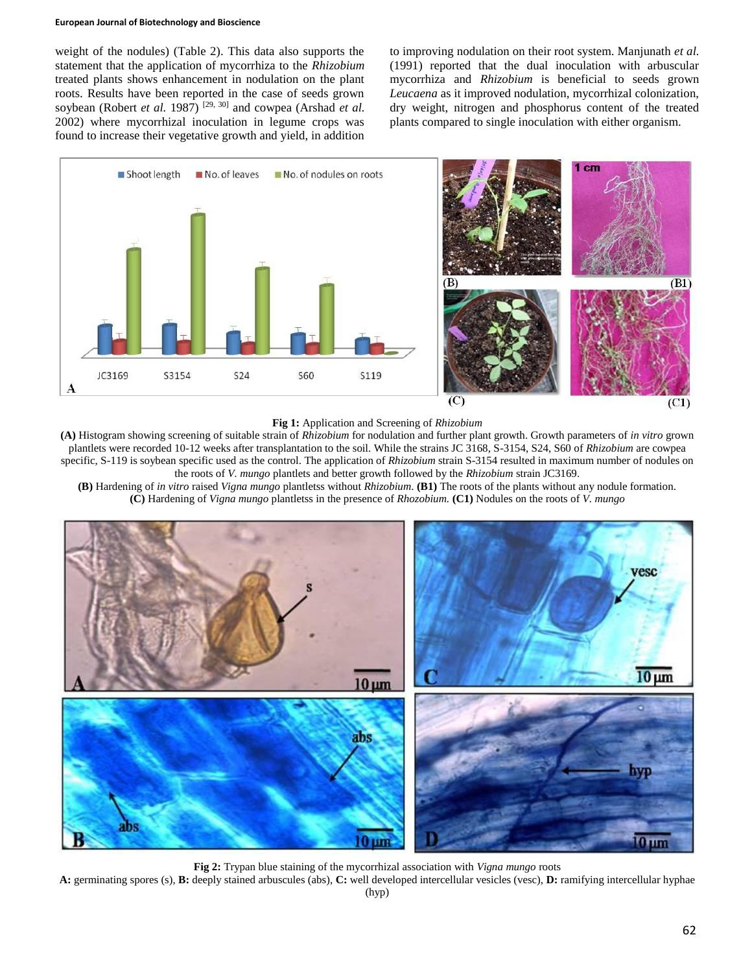#### **European Journal of Biotechnology and Bioscience**

weight of the nodules) (Table 2). This data also supports the statement that the application of mycorrhiza to the *Rhizobium* treated plants shows enhancement in nodulation on the plant roots. Results have been reported in the case of seeds grown soybean (Robert *et al.* 1987)<sup>[29, 30]</sup> and cowpea (Arshad *et al.* 2002) where mycorrhizal inoculation in legume crops was found to increase their vegetative growth and yield, in addition to improving nodulation on their root system. Manjunath *et al.* (1991) reported that the dual inoculation with arbuscular mycorrhiza and *Rhizobium* is beneficial to seeds grown *Leucaena* as it improved nodulation, mycorrhizal colonization, dry weight, nitrogen and phosphorus content of the treated plants compared to single inoculation with either organism.



**Fig 1:** Application and Screening of *Rhizobium*

**(A)** Histogram showing screening of suitable strain of *Rhizobium* for nodulation and further plant growth. Growth parameters of *in vitro* grown plantlets were recorded 10-12 weeks after transplantation to the soil. While the strains JC 3168, S-3154, S24, S60 of *Rhizobium* are cowpea specific, S-119 is soybean specific used as the control. The application of *Rhizobium* strain S-3154 resulted in maximum number of nodules on the roots of *V. mungo* plantlets and better growth followed by the *Rhizobium* strain JC3169.

**(B)** Hardening of *in vitro* raised *Vigna mungo* plantletss without *Rhizobium*. **(B1)** The roots of the plants without any nodule formation. **(C)** Hardening of *Vigna mungo* plantletss in the presence of *Rhozobium.* **(C1)** Nodules on the roots of *V. mungo*



**Fig 2:** Trypan blue staining of the mycorrhizal association with *Vigna mungo* roots

**A:** germinating spores (s), **B:** deeply stained arbuscules (abs), **C:** well developed intercellular vesicles (vesc), **D:** ramifying intercellular hyphae (hyp)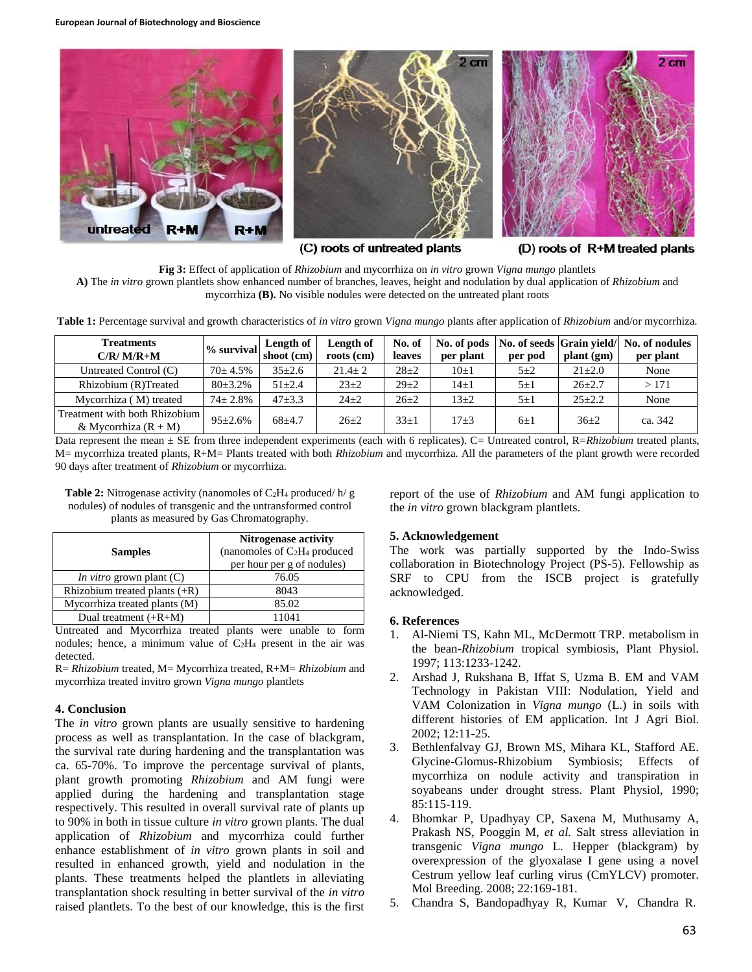

(C) roots of untreated plants

(D) roots of R+M treated plants

**Fig 3:** Effect of application of *Rhizobium* and mycorrhiza on *in vitro* grown *Vigna mungo* plantlets **A)** The *in vitro* grown plantlets show enhanced number of branches, leaves, height and nodulation by dual application of *Rhizobium* and mycorrhiza **(B).** No visible nodules were detected on the untreated plant roots

**Table 1:** Percentage survival and growth characteristics of *in vitro* grown *Vigna mungo* plants after application of *Rhizobium* and/or mycorrhiza.

| <b>Treatments</b><br>$C/R/M/R+M$                        | $%$ survival | Length of<br>shoot (cm) | Length of<br>roots (cm) | No. of<br><b>leaves</b> | No. of pods<br>per plant | No. of seeds Grain yield/<br>per pod | plant (gm)   | No. of nodules<br>per plant |
|---------------------------------------------------------|--------------|-------------------------|-------------------------|-------------------------|--------------------------|--------------------------------------|--------------|-----------------------------|
| Untreated Control (C)                                   | $70+4.5%$    | $35 \pm 2.6$            | $21.4 \pm 2$            | $28+2$                  | $10\pm1$                 | $5 + 2$                              | $21 \pm 2.0$ | None                        |
| Rhizobium (R)Treated                                    | $80 + 3.2\%$ | $51 + 2.4$              | $23+2$                  | $29 + 2$                | $14\pm1$                 | $5\pm1$                              | $26+2.7$     | >171                        |
| Mycorrhiza (M) treated                                  | $74 + 2.8\%$ | $47 + 3.3$              | $24+2$                  | $26+2$                  | $13+2$                   | $5\pm1$                              | $25 + 2.2$   | None                        |
| Treatment with both Rhizobium<br>& Mycorrhiza $(R + M)$ | $95 + 2.6\%$ | $68+4.7$                | $26+2$                  | $33+1$                  | $17 + 3$                 | $6+1$                                | $36+2$       | ca. 342                     |

Data represent the mean  $\pm$  SE from three independent experiments (each with 6 replicates). C= Untreated control, R=*Rhizobium* treated plants, M= mycorrhiza treated plants, R+M= Plants treated with both *Rhizobium* and mycorrhiza. All the parameters of the plant growth were recorded 90 days after treatment of *Rhizobium* or mycorrhiza.

**Table 2:** Nitrogenase activity (nanomoles of C<sub>2</sub>H<sub>4</sub> produced/ h/ g nodules) of nodules of transgenic and the untransformed control plants as measured by Gas Chromatography.

| <b>Samples</b>                    | <b>Nitrogenase activity</b><br>(nanomoles of $C_2H_4$ produced<br>per hour per g of nodules) |  |  |  |
|-----------------------------------|----------------------------------------------------------------------------------------------|--|--|--|
| <i>In vitro</i> grown plant $(C)$ | 76.05                                                                                        |  |  |  |
| Rhizobium treated plants $(+R)$   | 8043                                                                                         |  |  |  |
| Mycorrhiza treated plants (M)     | 85.02                                                                                        |  |  |  |
| Dual treatment $(+R+M)$           | 11041                                                                                        |  |  |  |

Untreated and Mycorrhiza treated plants were unable to form nodules; hence, a minimum value of C2H<sup>4</sup> present in the air was detected.

R= *Rhizobium* treated, M= Mycorrhiza treated, R+M= *Rhizobium* and mycorrhiza treated invitro grown *Vigna mungo* plantlets

# **4. Conclusion**

The *in vitro* grown plants are usually sensitive to hardening process as well as transplantation. In the case of blackgram, the survival rate during hardening and the transplantation was ca. 65-70%. To improve the percentage survival of plants, plant growth promoting *Rhizobium* and AM fungi were applied during the hardening and transplantation stage respectively. This resulted in overall survival rate of plants up to 90% in both in tissue culture *in vitro* grown plants. The dual application of *Rhizobium* and mycorrhiza could further enhance establishment of *in vitro* grown plants in soil and resulted in enhanced growth, yield and nodulation in the plants. These treatments helped the plantlets in alleviating transplantation shock resulting in better survival of the *in vitro* raised plantlets. To the best of our knowledge, this is the first

report of the use of *Rhizobium* and AM fungi application to the *in vitro* grown blackgram plantlets.

# **5. Acknowledgement**

The work was partially supported by the Indo-Swiss collaboration in Biotechnology Project (PS-5). Fellowship as SRF to CPU from the ISCB project is gratefully acknowledged.

# **6. References**

- 1. Al-Niemi TS, Kahn ML, McDermott TRP. metabolism in the bean-*Rhizobium* tropical symbiosis, Plant Physiol. 1997; 113:1233-1242.
- 2. Arshad J, Rukshana B, Iffat S, Uzma B. EM and VAM Technology in Pakistan VIII: Nodulation, Yield and VAM Colonization in *Vigna mungo* (L.) in soils with different histories of EM application. Int J Agri Biol. 2002; 12:11-25.
- 3. Bethlenfalvay GJ, Brown MS, Mihara KL, Stafford AE. Glycine-Glomus-Rhizobium Symbiosis; Effects of mycorrhiza on nodule activity and transpiration in soyabeans under drought stress. Plant Physiol, 1990; 85:115-119.
- 4. Bhomkar P, Upadhyay CP, Saxena M, Muthusamy A, Prakash NS, Pooggin M, *et al.* Salt stress alleviation in transgenic *Vigna mungo* L. Hepper (blackgram) by overexpression of the glyoxalase I gene using a novel Cestrum yellow leaf curling virus (CmYLCV) promoter. Mol Breeding. 2008; 22:169-181.
- 5. Chandra S, Bandopadhyay R, Kumar V, Chandra R.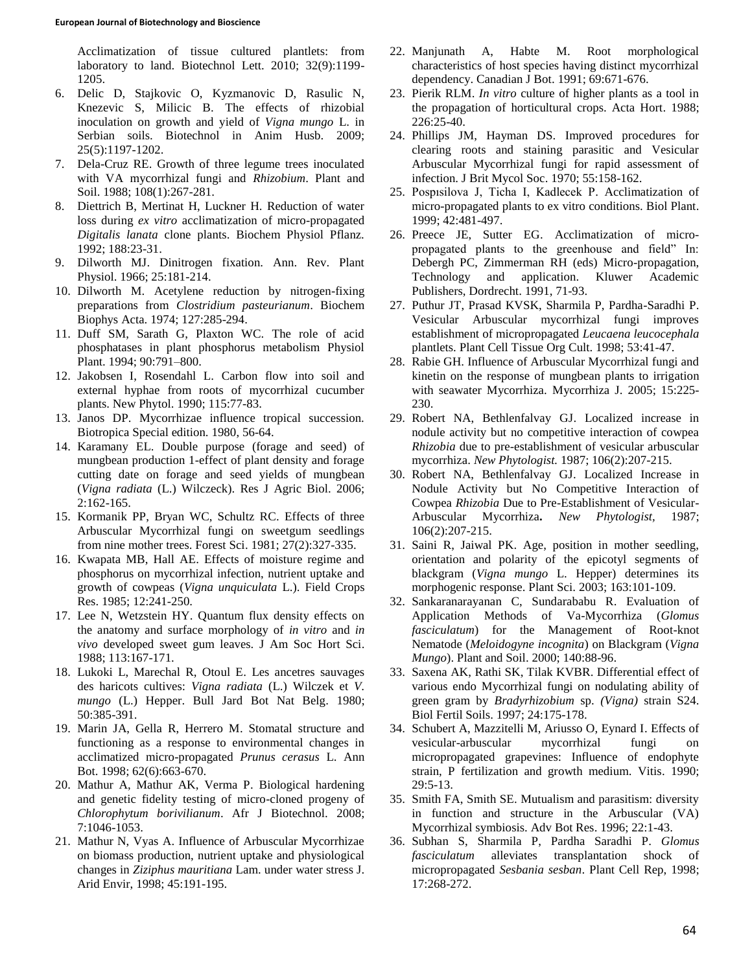Acclimatization of tissue cultured plantlets: from laboratory to land. Biotechnol Lett. 2010; 32(9):1199- 1205.

- 6. Delic D, Stajkovic O, Kyzmanovic D, Rasulic N, Knezevic S, Milicic B. The effects of rhizobial inoculation on growth and yield of *Vigna mungo* L. in Serbian soils. Biotechnol in Anim Husb. 2009; 25(5):1197-1202.
- 7. Dela-Cruz RE. Growth of three legume trees inoculated with VA mycorrhizal fungi and *Rhizobium*. Plant and Soil. 1988; 108(1):267-281.
- 8. Diettrich B, Mertinat H, Luckner H. Reduction of water loss during *ex vitro* acclimatization of micro-propagated *Digitalis lanata* clone plants. Biochem Physiol Pflanz. 1992; 188:23-31.
- 9. Dilworth MJ. Dinitrogen fixation. Ann. Rev. Plant Physiol. 1966; 25:181-214.
- 10. Dilworth M. Acetylene reduction by nitrogen-fixing preparations from *Clostridium pasteurianum*. Biochem Biophys Acta. 1974; 127:285-294.
- 11. Duff SM, Sarath G, Plaxton WC. The role of acid phosphatases in plant phosphorus metabolism Physiol Plant. 1994; 90:791–800.
- 12. Jakobsen I, Rosendahl L. Carbon flow into soil and external hyphae from roots of mycorrhizal cucumber plants. New Phytol. 1990; 115:77-83.
- 13. Janos DP. Mycorrhizae influence tropical succession. Biotropica Special edition. 1980, 56-64.
- 14. Karamany EL. Double purpose (forage and seed) of mungbean production 1-effect of plant density and forage cutting date on forage and seed yields of mungbean (*Vigna radiata* (L.) Wilczeck). Res J Agric Biol. 2006; 2:162-165.
- 15. Kormanik PP, Bryan WC, Schultz RC. Effects of three Arbuscular Mycorrhizal fungi on sweetgum seedlings from nine mother trees. Forest Sci. 1981; 27(2):327-335.
- 16. Kwapata MB, Hall AE. Effects of moisture regime and phosphorus on mycorrhizal infection, nutrient uptake and growth of cowpeas (*Vigna unquiculata* L.). Field Crops Res. 1985; 12:241-250.
- 17. Lee N, Wetzstein HY. Quantum flux density effects on the anatomy and surface morphology of *in vitro* and *in vivo* developed sweet gum leaves. J Am Soc Hort Sci. 1988; 113:167-171.
- 18. Lukoki L, Marechal R, Otoul E. Les ancetres sauvages des haricots cultives: *Vigna radiata* (L.) Wilczek et *V. mungo* (L.) Hepper. Bull Jard Bot Nat Belg. 1980; 50:385-391.
- 19. Marin JA, Gella R, Herrero M. Stomatal structure and functioning as a response to environmental changes in acclimatized micro-propagated *Prunus cerasus* L. Ann Bot. 1998; 62(6):663-670.
- 20. Mathur A, Mathur AK, Verma P. Biological hardening and genetic fidelity testing of micro-cloned progeny of *Chlorophytum borivilianum*. Afr J Biotechnol. 2008; 7:1046-1053.
- 21. Mathur N, Vyas A. Influence of Arbuscular Mycorrhizae on biomass production, nutrient uptake and physiological changes in *Ziziphus mauritiana* Lam. under water stress J. Arid Envir, 1998; 45:191-195.
- 22. Manjunath A, Habte M. Root morphological characteristics of host species having distinct mycorrhizal dependency. Canadian J Bot. 1991; 69:671-676.
- 23. Pierik RLM. *In vitro* culture of higher plants as a tool in the propagation of horticultural crops. Acta Hort. 1988; 226:25-40.
- 24. Phillips JM, Hayman DS. Improved procedures for clearing roots and staining parasitic and Vesicular Arbuscular Mycorrhizal fungi for rapid assessment of infection. J Brit Mycol Soc. 1970; 55:158-162.
- 25. Pospısilova J, Ticha I, Kadlecek P. Acclimatization of micro-propagated plants to ex vitro conditions. Biol Plant. 1999; 42:481-497.
- 26. Preece JE, Sutter EG. Acclimatization of micropropagated plants to the greenhouse and field" In: Debergh PC, Zimmerman RH (eds) Micro-propagation, Technology and application. Kluwer Academic Publishers, Dordrecht. 1991, 71-93.
- 27. Puthur JT, Prasad KVSK, Sharmila P, Pardha-Saradhi P. Vesicular Arbuscular mycorrhizal fungi improves establishment of micropropagated *Leucaena leucocephala*  plantlets. Plant Cell Tissue Org Cult. 1998; 53:41-47.
- 28. Rabie GH. Influence of Arbuscular Mycorrhizal fungi and kinetin on the response of mungbean plants to irrigation with seawater Mycorrhiza. Mycorrhiza J. 2005; 15:225- 230.
- 29. Robert NA, Bethlenfalvay GJ. Localized increase in nodule activity but no competitive interaction of cowpea *Rhizobia* due to pre-establishment of vesicular arbuscular mycorrhiza. *New Phytologist.* 1987; 106(2):207-215.
- 30. Robert NA, Bethlenfalvay GJ. Localized Increase in Nodule Activity but No Competitive Interaction of Cowpea *Rhizobia* Due to Pre-Establishment of Vesicular-Arbuscular Mycorrhiza**.** *New Phytologist,* 1987; 106(2):207-215.
- 31. Saini R, Jaiwal PK. Age, position in mother seedling, orientation and polarity of the epicotyl segments of blackgram (*Vigna mungo* L. Hepper) determines its morphogenic response. Plant Sci. 2003; 163:101-109.
- 32. Sankaranarayanan C, Sundarababu R. Evaluation of Application Methods of Va-Mycorrhiza (*Glomus fasciculatum*) for the Management of Root-knot Nematode (*Meloidogyne incognita*) on Blackgram (*Vigna Mungo*). Plant and Soil. 2000; 140:88-96.
- 33. Saxena AK, Rathi SK, Tilak KVBR. Differential effect of various endo Mycorrhizal fungi on nodulating ability of green gram by *Bradyrhizobium* sp. *(Vigna)* strain S24. Biol Fertil Soils. 1997; 24:175-178.
- 34. Schubert A, Mazzitelli M, Ariusso O, Eynard I. Effects of vesicular-arbuscular mycorrhizal fungi on micropropagated grapevines: Influence of endophyte strain, P fertilization and growth medium. Vitis. 1990; 29:5-13.
- 35. Smith FA, Smith SE. Mutualism and parasitism: diversity in function and structure in the Arbuscular (VA) Mycorrhizal symbiosis. Adv Bot Res. 1996; 22:1-43.
- 36. Subhan S, Sharmila P, Pardha Saradhi P. *Glomus fasciculatum* alleviates transplantation shock of micropropagated *Sesbania sesban*. Plant Cell Rep, 1998; 17:268-272.